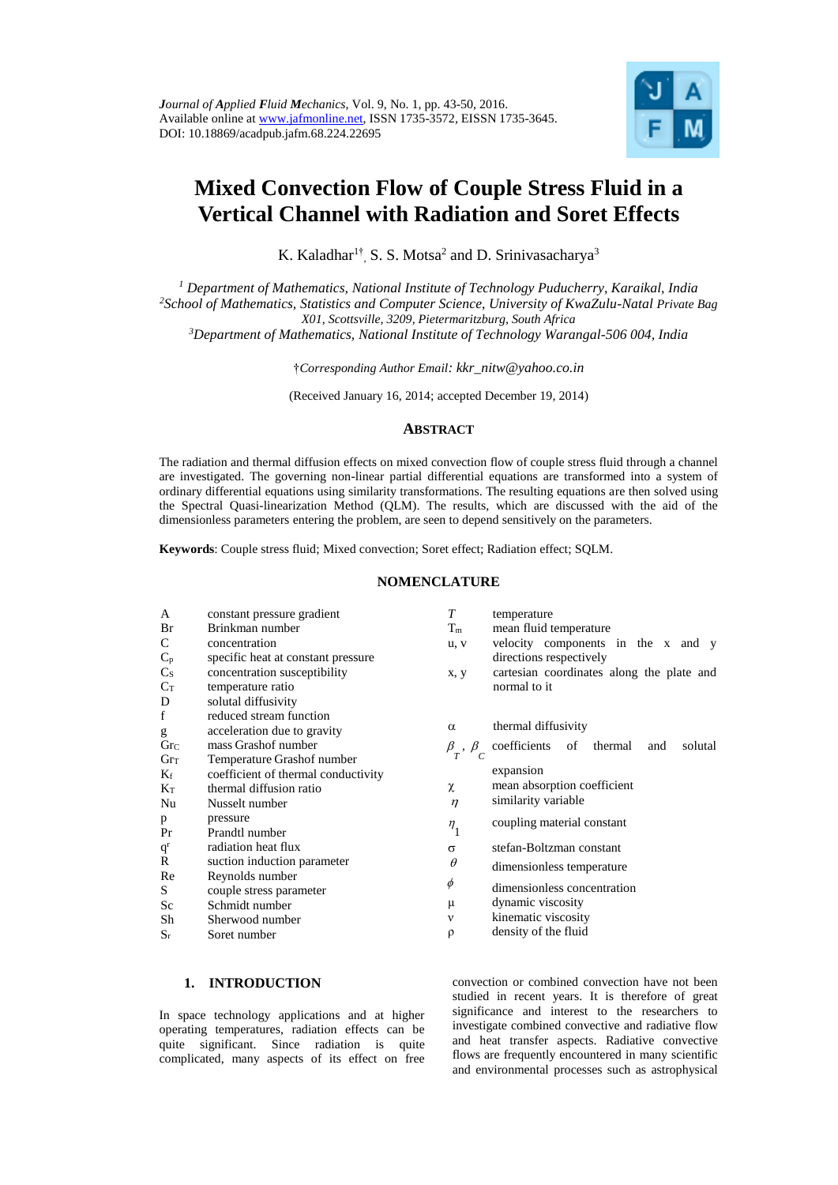

# **Mixed Convection Flow of Couple Stress Fluid in a Vertical Channel with Radiation and Soret Effects**

K. Kaladhar<sup>1†</sup>, S. S. Motsa<sup>2</sup> and D. Srinivasacharya<sup>3</sup>

 *Department of Mathematics, National Institute of Technology Puducherry, Karaikal, India School of Mathematics, Statistics and Computer Science, University of KwaZulu-Natal Private Bag X01, Scottsville, 3209, Pietermaritzburg, South Africa Department of Mathematics, National Institute of Technology Warangal-506 004, India*

†*Corresponding Author Email: [kkr\\_nitw@yahoo.co.in](mailto:kkr_nitw@yahoo.co.in)*

(Received January 16, 2014; accepted December 19, 2014)

#### **ABSTRACT**

The radiation and thermal diffusion effects on mixed convection flow of couple stress fluid through a channel are investigated. The governing non-linear partial differential equations are transformed into a system of ordinary differential equations using similarity transformations. The resulting equations are then solved using the Spectral Quasi-linearization Method (QLM). The results, which are discussed with the aid of the dimensionless parameters entering the problem, are seen to depend sensitively on the parameters.

**Keywords**: Couple stress fluid; Mixed convection; Soret effect; Radiation effect; SQLM.

#### **NOMENCLATURE**

| A                         | constant pressure gradient          | T                                    | temperature                                     |  |  |  |
|---------------------------|-------------------------------------|--------------------------------------|-------------------------------------------------|--|--|--|
| Br                        | Brinkman number                     | T <sub>m</sub>                       | mean fluid temperature                          |  |  |  |
| C                         | concentration                       | u, v                                 | velocity components in the x and y              |  |  |  |
| $C_{p}$                   | specific heat at constant pressure  |                                      | directions respectively                         |  |  |  |
| $\mathbf{C}_{\mathbf{S}}$ | concentration susceptibility        | x, y                                 | cartesian coordinates along the plate and       |  |  |  |
| $C_T$                     | temperature ratio                   |                                      | normal to it                                    |  |  |  |
| D                         | solutal diffusivity                 |                                      |                                                 |  |  |  |
| f                         | reduced stream function             |                                      |                                                 |  |  |  |
| g                         | acceleration due to gravity         | $\alpha$                             | thermal diffusivity                             |  |  |  |
| Grc                       | mass Grashof number                 | $_{\rho}\mathstrut_{_{T}}, \, \beta$ | coefficients<br>of<br>thermal<br>solutal<br>and |  |  |  |
| Grr                       | Temperature Grashof number          | $\overline{C}$                       |                                                 |  |  |  |
| $K_f$                     | coefficient of thermal conductivity |                                      | expansion                                       |  |  |  |
| $K_{\mathrm{T}}$          | thermal diffusion ratio             | $\chi$                               | mean absorption coefficient                     |  |  |  |
| Nu                        | Nusselt number                      | $\eta$                               | similarity variable                             |  |  |  |
| p                         | pressure                            |                                      | coupling material constant                      |  |  |  |
| Pr                        | Prandtl number                      | $n_{1}$                              |                                                 |  |  |  |
| $q^r$                     | radiation heat flux                 | $\sigma$                             | stefan-Boltzman constant                        |  |  |  |
| $\mathbb{R}$              | suction induction parameter         | $\theta$                             | dimensionless temperature                       |  |  |  |
| Re                        | Reynolds number                     | $\phi$                               |                                                 |  |  |  |
| S                         | couple stress parameter             |                                      | dimensionless concentration                     |  |  |  |
| Sc                        | Schmidt number                      | μ                                    | dynamic viscosity                               |  |  |  |
| Sh                        | Sherwood number                     | $\mathbf v$                          | kinematic viscosity                             |  |  |  |
| $S_r$                     | Soret number                        | ρ                                    | density of the fluid                            |  |  |  |
|                           |                                     |                                      |                                                 |  |  |  |

## **1. INTRODUCTION**

In space technology applications and at higher operating temperatures, radiation effects can be quite significant. Since radiation is quite complicated, many aspects of its effect on free

convection or combined convection have not been studied in recent years. It is therefore of great significance and interest to the researchers to investigate combined convective and radiative flow and heat transfer aspects. Radiative convective flows are frequently encountered in many scientific and environmental processes such as astrophysical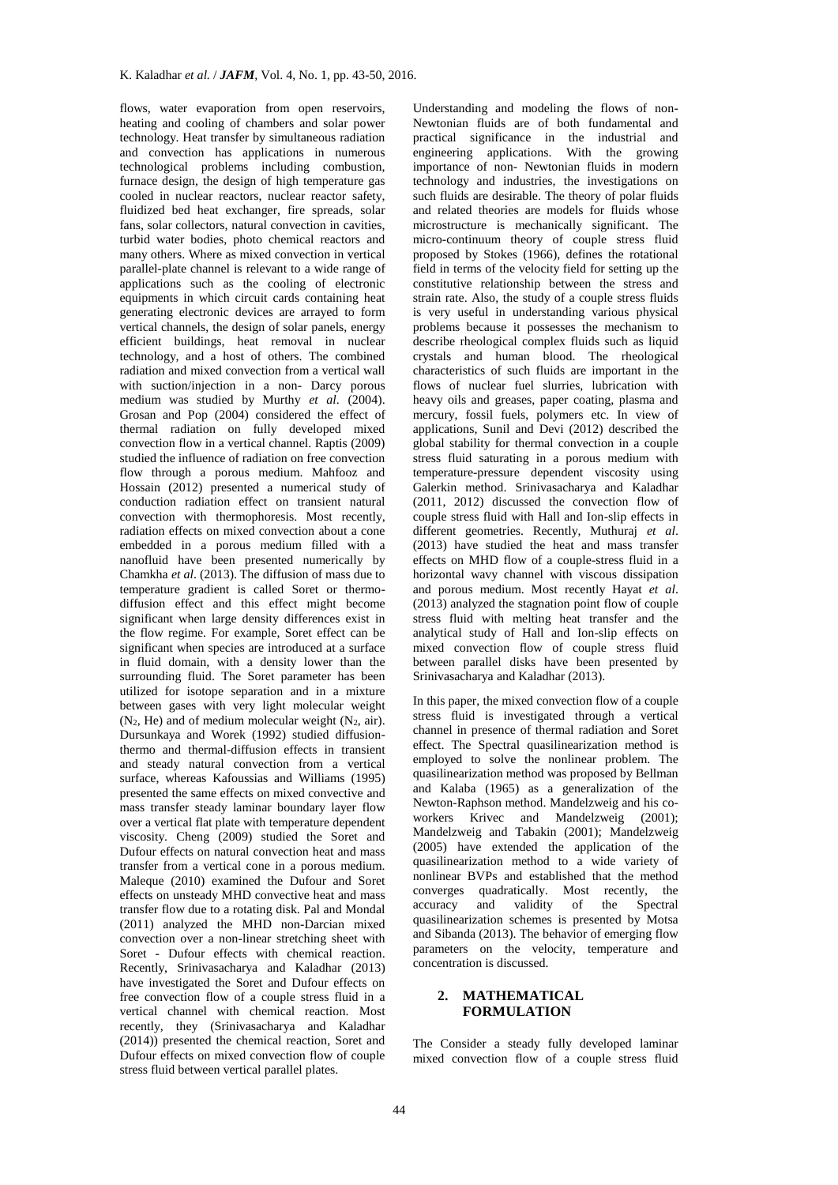flows, water evaporation from open reservoirs, heating and cooling of chambers and solar power technology. Heat transfer by simultaneous radiation and convection has applications in numerous technological problems including combustion, furnace design, the design of high temperature gas cooled in nuclear reactors, nuclear reactor safety, fluidized bed heat exchanger, fire spreads, solar fans, solar collectors, natural convection in cavities, turbid water bodies, photo chemical reactors and many others. Where as mixed convection in vertical parallel-plate channel is relevant to a wide range of applications such as the cooling of electronic equipments in which circuit cards containing heat generating electronic devices are arrayed to form vertical channels, the design of solar panels, energy efficient buildings, heat removal in nuclear technology, and a host of others. The combined radiation and mixed convection from a vertical wall with suction/injection in a non- Darcy porous medium was studied by Murthy *et al*. (2004). Grosan and Pop (2004) considered the effect of thermal radiation on fully developed mixed convection flow in a vertical channel. Raptis (2009) studied the influence of radiation on free convection flow through a porous medium. Mahfooz and Hossain (2012) presented a numerical study of conduction radiation effect on transient natural convection with thermophoresis. Most recently, radiation effects on mixed convection about a cone embedded in a porous medium filled with a nanofluid have been presented numerically by Chamkha *et al*. (2013). The diffusion of mass due to temperature gradient is called Soret or thermodiffusion effect and this effect might become significant when large density differences exist in the flow regime. For example, Soret effect can be significant when species are introduced at a surface in fluid domain, with a density lower than the surrounding fluid. The Soret parameter has been utilized for isotope separation and in a mixture between gases with very light molecular weight  $(N_2, He)$  and of medium molecular weight  $(N_2, air)$ . Dursunkaya and Worek (1992) studied diffusionthermo and thermal-diffusion effects in transient and steady natural convection from a vertical surface, whereas Kafoussias and Williams (1995) presented the same effects on mixed convective and mass transfer steady laminar boundary layer flow over a vertical flat plate with temperature dependent viscosity. Cheng (2009) studied the Soret and Dufour effects on natural convection heat and mass transfer from a vertical cone in a porous medium. Maleque (2010) examined the Dufour and Soret effects on unsteady MHD convective heat and mass transfer flow due to a rotating disk. Pal and Mondal (2011) analyzed the MHD non-Darcian mixed convection over a non-linear stretching sheet with Soret - Dufour effects with chemical reaction. Recently, Srinivasacharya and Kaladhar (2013) have investigated the Soret and Dufour effects on free convection flow of a couple stress fluid in a vertical channel with chemical reaction. Most recently, they (Srinivasacharya and Kaladhar (2014)) presented the chemical reaction, Soret and Dufour effects on mixed convection flow of couple stress fluid between vertical parallel plates.

Understanding and modeling the flows of non-Newtonian fluids are of both fundamental and practical significance in the industrial and engineering applications. With the growing importance of non- Newtonian fluids in modern technology and industries, the investigations on such fluids are desirable. The theory of polar fluids and related theories are models for fluids whose microstructure is mechanically significant. The micro-continuum theory of couple stress fluid proposed by Stokes (1966), defines the rotational field in terms of the velocity field for setting up the constitutive relationship between the stress and strain rate. Also, the study of a couple stress fluids is very useful in understanding various physical problems because it possesses the mechanism to describe rheological complex fluids such as liquid crystals and human blood. The rheological characteristics of such fluids are important in the flows of nuclear fuel slurries, lubrication with heavy oils and greases, paper coating, plasma and mercury, fossil fuels, polymers etc. In view of applications, Sunil and Devi (2012) described the global stability for thermal convection in a couple stress fluid saturating in a porous medium with temperature-pressure dependent viscosity using Galerkin method. Srinivasacharya and Kaladhar (2011, 2012) discussed the convection flow of couple stress fluid with Hall and Ion-slip effects in different geometries. Recently, Muthuraj *et al*. (2013) have studied the heat and mass transfer effects on MHD flow of a couple-stress fluid in a horizontal wavy channel with viscous dissipation and porous medium. Most recently Hayat *et al*. (2013) analyzed the stagnation point flow of couple stress fluid with melting heat transfer and the analytical study of Hall and Ion-slip effects on mixed convection flow of couple stress fluid between parallel disks have been presented by Srinivasacharya and Kaladhar (2013).

In this paper, the mixed convection flow of a couple stress fluid is investigated through a vertical channel in presence of thermal radiation and Soret effect. The Spectral quasilinearization method is employed to solve the nonlinear problem. The quasilinearization method was proposed by Bellman and Kalaba (1965) as a generalization of the Newton-Raphson method. Mandelzweig and his coworkers Krivec and Mandelzweig (2001); Mandelzweig and Tabakin (2001); Mandelzweig (2005) have extended the application of the quasilinearization method to a wide variety of nonlinear BVPs and established that the method converges quadratically. Most recently, the accuracy and validity of the Spectral quasilinearization schemes is presented by Motsa and Sibanda (2013). The behavior of emerging flow parameters on the velocity, temperature and concentration is discussed.

## **2. MATHEMATICAL FORMULATION**

The Consider a steady fully developed laminar mixed convection flow of a couple stress fluid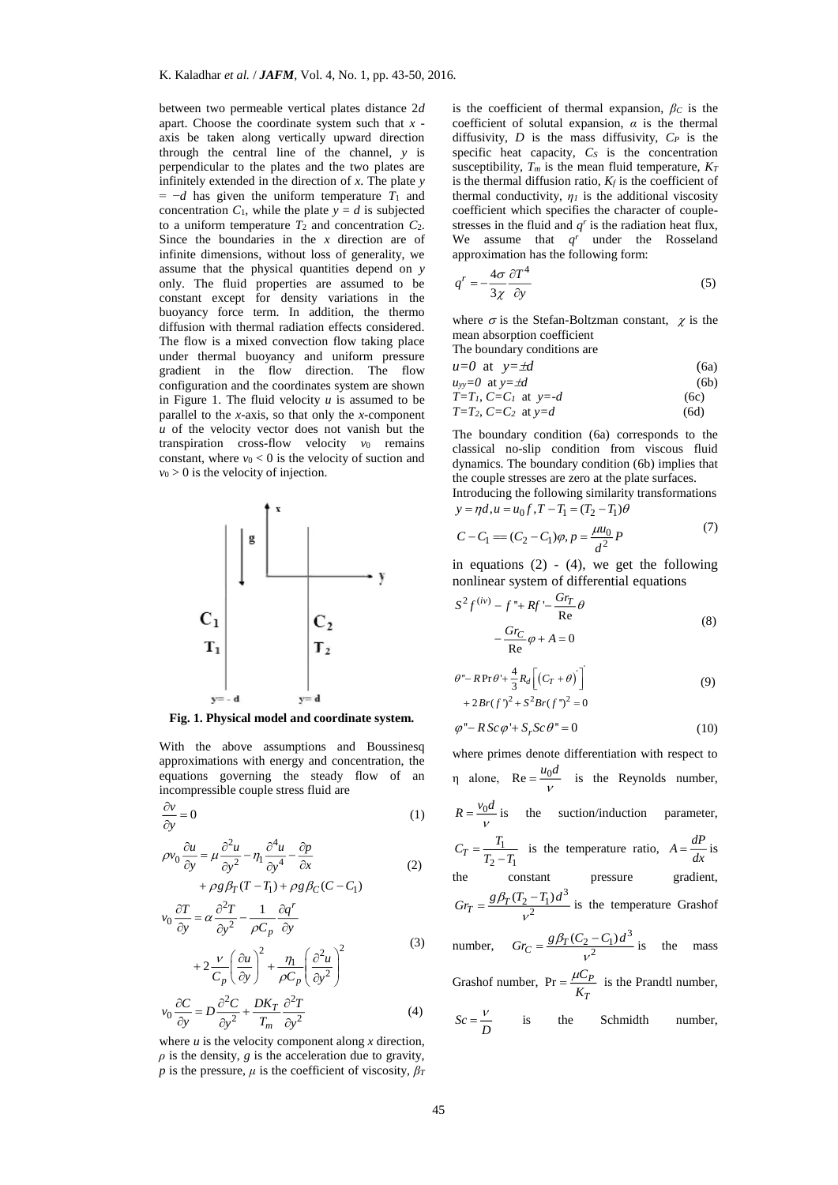between two permeable vertical plates distance 2*d* apart. Choose the coordinate system such that *x* axis be taken along vertically upward direction through the central line of the channel, *y* is perpendicular to the plates and the two plates are infinitely extended in the direction of *x*. The plate *y*  $= -d$  has given the uniform temperature  $T_1$  and concentration  $C_1$ , while the plate  $y = d$  is subjected to a uniform temperature  $T_2$  and concentration  $C_2$ . Since the boundaries in the *x* direction are of infinite dimensions, without loss of generality, we assume that the physical quantities depend on *y* only. The fluid properties are assumed to be constant except for density variations in the buoyancy force term. In addition, the thermo diffusion with thermal radiation effects considered. The flow is a mixed convection flow taking place under thermal buoyancy and uniform pressure gradient in the flow direction. The flow configuration and the coordinates system are shown in Figure 1. The fluid velocity *u* is assumed to be parallel to the *x*-axis, so that only the *x*-component *u* of the velocity vector does not vanish but the transpiration cross-flow velocity  $v_0$  remains constant, where  $v_0 < 0$  is the velocity of suction and  $v_0 > 0$  is the velocity of injection.



**Fig. 1. Physical model and coordinate system.**

With the above assumptions and Boussinesq approximations with energy and concentration, the equations governing the steady flow of an incompressible couple stress fluid are

$$
\frac{\partial v}{\partial y} = 0\tag{1}
$$

$$
\rho v_0 \frac{\partial u}{\partial y} = \mu \frac{\partial^2 u}{\partial y^2} - \eta_1 \frac{\partial^4 u}{\partial y^4} - \frac{\partial p}{\partial x} + \rho g \beta_T (T - T_1) + \rho g \beta_C (C - C_1)
$$
\n(2)

$$
v_0 \frac{\partial T}{\partial y} = \alpha \frac{\partial^2 T}{\partial y^2} - \frac{1}{\rho C_p} \frac{\partial q^r}{\partial y}
$$
  
+  $2 \frac{v}{C_p} \left(\frac{\partial u}{\partial y}\right)^2 + \frac{\eta_1}{\rho C_p} \left(\frac{\partial^2 u}{\partial y^2}\right)^2$   

$$
v_0 \frac{\partial C}{\partial y} = D \frac{\partial^2 C}{\partial y^2} + \frac{DK_T}{T_m} \frac{\partial^2 T}{\partial y^2}
$$
 (4)

where *u* is the velocity component along *x* direction,  $\rho$  is the density,  $g$  is the acceleration due to gravity, *p* is the pressure,  $\mu$  is the coefficient of viscosity,  $\beta_T$  is the coefficient of thermal expansion,  $\beta_c$  is the coefficient of solutal expansion,  $\alpha$  is the thermal diffusivity, *D* is the mass diffusivity, *C<sup>P</sup>* is the specific heat capacity, *C<sup>S</sup>* is the concentration susceptibility,  $T_m$  is the mean fluid temperature,  $K_T$ is the thermal diffusion ratio,  $K_f$  is the coefficient of thermal conductivity,  $\eta_l$  is the additional viscosity coefficient which specifies the character of couplestresses in the fluid and  $q<sup>r</sup>$  is the radiation heat flux, We assume that  $q<sup>r</sup>$  under the Rosseland approximation has the following form:

$$
q^r = -\frac{4\sigma}{3\chi} \frac{\partial T^4}{\partial y} \tag{5}
$$

where  $\sigma$  is the Stefan-Boltzman constant,  $\chi$  is the mean absorption coefficient

The boundary conditions are

$$
u=0 \t at \t y=\pm d \t (6a)\n uyy=0 \t at \t y=\pm d \t (6b)
$$

$$
T=T_1, C=C_1 \text{ at } y=d
$$
\n
$$
T=T_2, C=C_2 \text{ at } y=d
$$
\n(6c)

\n(6d)

The boundary condition (6a) corresponds to the classical no-slip condition from viscous fluid dynamics. The boundary condition (6b) implies that the couple stresses are zero at the plate surfaces. Introducing the following similarity transformations

 $y = \eta d, u = u_0 f, T - T_1 = (T_2 - T_1)\theta$ 

$$
C - C_1 = (C_2 - C_1)\varphi, p = \frac{\mu u_0}{d^2}P
$$
\n(7)

in equations  $(2)$  -  $(4)$ , we get the following nonlinear system of differential equations

$$
S^{2} f^{(iv)} - f'' + Rf' - \frac{Gr_{\overline{L}}}{Re} \theta
$$
  

$$
- \frac{Gr_{\overline{C}}}{Re} \varphi + A = 0
$$
 (8)

$$
\theta'' - R \Pr \theta' + \frac{4}{3} R_d \left[ (C_T + \theta) \right] + 2 B r (f')^2 + S^2 B r (f'')^2 = 0
$$
\n(9)

$$
\varphi'' - RSc \varphi' + S_r Sc \theta'' = 0 \tag{10}
$$

where primes denote differentiation with respect to  $η$  alone,  $Re = \frac{u_0 d}{v}$  is the Reynolds number,  $R = \frac{v_0 d}{V}$  is the suction/induction parameter,  $T - T_2 - T_1$  $C_T = \frac{T_1}{T_2 - T_1}$  is the temperature ratio,  $A = \frac{dP}{dx}$  is pressure gradient,  $Gr_T = \frac{g\beta_T(T_2 - T_1)d^3}{r^2}$ V  $=\frac{8PT(12-1)/a}{2}$  is the temperature Grashof number,  $Gr_C = \frac{g\beta_T(C_2 - C_1)d^3}{2}$ V  $=\frac{8PT(C_2-C_1)u}{2}$  is the mass Grashof number,  $Pr = \frac{\mu C_p}{T}$ *T C K*  $=\frac{\mu C_P}{T}$  is the Prandtl number,  $Sc = \frac{D}{D}$  $=\frac{V}{R}$  is the Schmidth number,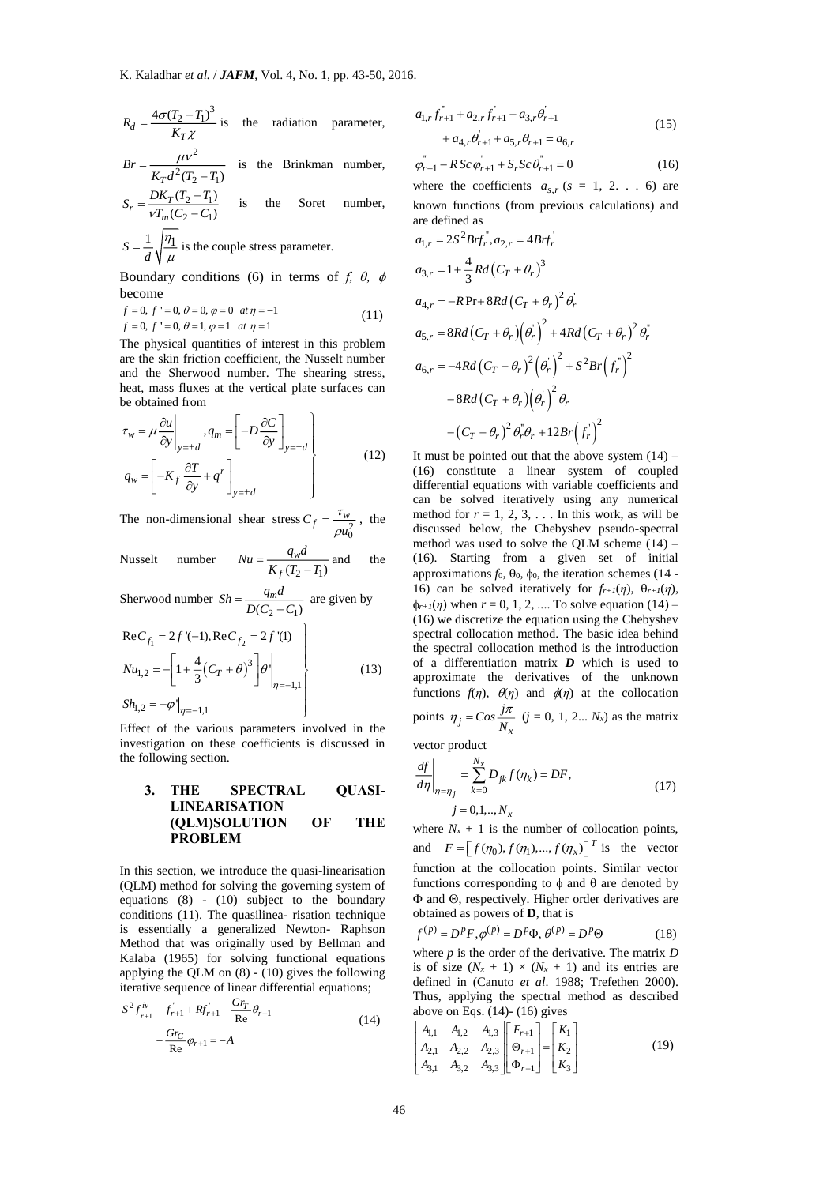$$
R_d = \frac{4\sigma (T_2 - T_1)^3}{K_T \chi}
$$
 is the radiation parameter,

$$
Br = \frac{\mu v^2}{K_T d^2 (T_2 - T_1)}
$$
 is the Brinkman number,

$$
S_r = \frac{DK_T(T_2 - T_1)}{vT_m(C_2 - C_1)} \quad \text{is} \quad \text{the} \quad \text{Soret} \quad \text{number},
$$

$$
S = \frac{1}{d} \sqrt{\frac{\eta_1}{\mu}}
$$
 is the couple stress parameter.

Boundary conditions (6) in terms of *f, θ,*  become

$$
f = 0, f' = 0, \theta = 0, \varphi = 0 \text{ at } \eta = -1
$$
  

$$
f = 0, f'' = 0, \theta = 1, \varphi = 1 \text{ at } \eta = 1
$$
 (11)

The physical quantities of interest in this problem are the skin friction coefficient, the Nusselt number and the Sherwood number. The shearing stress, heat, mass fluxes at the vertical plate surfaces can be obtained from

$$
\tau_{w} = \mu \frac{\partial u}{\partial y}\Big|_{y=\pm d}, q_{m} = \left[-D \frac{\partial C}{\partial y}\right]_{y=\pm d}
$$
\n
$$
q_{w} = \left[-K_{f} \frac{\partial T}{\partial y} + q^{r}\right]_{y=\pm d}
$$
\n(12)

The non-dimensional shear stress  $C_f = \frac{V_w}{\rho u_0^2}$ τ  $=\frac{v_w}{\rho u_0^2}$ , the

Nusselt number 
$$
Nu = \frac{q_w d}{K_f (T_2 - T_1)}
$$
 and the

Sherwood number  $Sh = \frac{q_m c}{D(C_2 - C_1)}$  $Sh = \frac{q_m d}{D(C_2 - C_1)}$  are given by

$$
\begin{aligned}\n\text{Re}\,C_{f_1} &= 2f'(-1), \text{Re}\,C_{f_2} = 2f'(1) \\
Nu_{1,2} &= -\left[1 + \frac{4}{3}\left(C_T + \theta\right)^3\right]\theta\Big|_{\eta = -1,1} \\
Sh_{1,2} &= -\varphi\Big|_{\eta = -1,1}\n\end{aligned}\n\tag{13}
$$

Effect of the various parameters involved in the investigation on these coefficients is discussed in the following section.

## **3. THE SPECTRAL QUASI-LINEARISATION (QLM)SOLUTION OF THE PROBLEM**

 $\frac{1}{2}$  is the radiation parameter,<br>  $\frac{1}{(1)}$  is the Brinkman number,<br>  $\frac{1}{(1)}$  is the Soret number,<br>
couple stress parameter.<br>
titions (6) in terms of f,  $\theta$ ,  $\phi$ <br>  $\varphi = 0$  at  $\eta = 1$ <br>  $\varphi = 1$  at  $\eta = 1$ <br>
mittie In this section, we introduce the quasi-linearisation (QLM) method for solving the governing system of equations (8) - (10) subject to the boundary conditions (11). The quasilinea- risation technique is essentially a generalized Newton- Raphson Method that was originally used by Bellman and Kalaba (1965) for solving functional equations applying the QLM on (8) - (10) gives the following iterative sequence of linear differential equations;

$$
S^{2} f_{r+1}^{iv} - f_{r+1}^{v} + Rf_{r+1}^{v} - \frac{Gr_{T}}{Re} \theta_{r+1}
$$
  
- 
$$
\frac{Gr_{C}}{Re} \varphi_{r+1} = -A
$$
 (14)

$$
a_{1,r}f_{r+1}^{*} + a_{2,r}f_{r+1}^{'} + a_{3,r}\theta_{r+1}^{*} + a_{4,r}\theta_{r+1}^{'} + a_{5,r}\theta_{r+1} = a_{6,r}
$$
\n
$$
(15)
$$

$$
\varphi_{r+1}^{\dagger} - RSc \varphi_{r+1}^{\dagger} + S_r Sc \vartheta_{r+1}^{\dagger} = 0 \tag{16}
$$

where the coefficients  $a_{s,r}$  ( $s = 1, 2, \ldots, 6$ ) are known functions (from previous calculations) and are defined as

$$
a_{1,r} = 2S^2 Brf_r^r, a_{2,r} = 4Brf_r^r
$$
  
\n
$$
a_{3,r} = 1 + \frac{4}{3} R d (C_T + \theta_r)^3
$$
  
\n
$$
a_{4,r} = -R \Pr + 8R d (C_T + \theta_r)^2 \theta_r^r
$$
  
\n
$$
a_{5,r} = 8R d (C_T + \theta_r) (\theta_r^r)^2 + 4R d (C_T + \theta_r)^2 \theta_r^r
$$
  
\n
$$
a_{6,r} = -4R d (C_T + \theta_r)^2 (\theta_r^r)^2 + S^2 Br (f_r^r)^2
$$
  
\n
$$
-8R d (C_T + \theta_r) (\theta_r^r)^2 \theta_r^r
$$
  
\n
$$
-(C_T + \theta_r)^2 \theta_r^r \theta_r + 12Br (f_r^r)^2
$$

It must be pointed out that the above system  $(14)$  – (16) constitute a linear system of coupled differential equations with variable coefficients and can be solved iteratively using any numerical method for  $r = 1, 2, 3, \ldots$  In this work, as will be discussed below, the Chebyshev pseudo-spectral method was used to solve the QLM scheme (14) – (16). Starting from a given set of initial approximations  $f_0$ ,  $\theta_0$ ,  $\phi_0$ , the iteration schemes (14 -16) can be solved iteratively for  $f_{r+1}(\eta)$ ,  $\theta_{r+1}(\eta)$ ,  $\phi_{r+1}(\eta)$  when  $r = 0, 1, 2, ...$  To solve equation (14) – (16) we discretize the equation using the Chebyshev spectral collocation method. The basic idea behind the spectral collocation method is the introduction of a differentiation matrix *D* which is used to approximate the derivatives of the unknown functions  $f(\eta)$ ,  $\theta(\eta)$  and  $\phi(\eta)$  at the collocation points  $\eta_j = Cos \frac{J\pi}{N_x}$  $\cos \frac{j\beta}{N}$  $\eta_i = \cos \frac{j\pi}{l}$  (*j* = 0, 1, 2... *N<sub>x</sub>*) as the matrix

vector product

$$
\left. \frac{df}{d\eta} \right|_{\eta = \eta_j} = \sum_{k=0}^{N_x} D_{jk} f(\eta_k) = DF,
$$
\n(17)\n  
\n $j = 0, 1, ..., N_x$ 

where  $N<sub>x</sub> + 1$  is the number of collocation points, and  $F = \left[ f(\eta_0), f(\eta_1), \dots, f(\eta_x) \right]^T$  is the vector function at the collocation points. Similar vector functions corresponding to  $\phi$  and  $\theta$  are denoted by  $\Phi$  and  $\Theta$ , respectively. Higher order derivatives are

obtained as powers of **D**, that is  
\n
$$
f^{(p)} = D^p F, \varphi^{(p)} = D^p \Phi, \theta^{(p)} = D^p \Theta
$$
\n(18)

where *p* is the order of the derivative. The matrix *D* is of size  $(N_x + 1) \times (N_x + 1)$  and its entries are defined in (Canuto *et al*. 1988; Trefethen 2000). Thus, applying the spectral method as described above on Eqs.  $(14)$ - $(16)$  gives

$$
\begin{bmatrix} A_{1,1} & A_{1,2} & A_{1,3} \ A_{2,1} & A_{2,2} & A_{2,3} \ A_{3,1} & A_{3,2} & A_{3,3} \end{bmatrix} \begin{bmatrix} F_{r+1} \\ \Theta_{r+1} \end{bmatrix} = \begin{bmatrix} K_1 \\ K_2 \\ K_3 \end{bmatrix}
$$
 (19)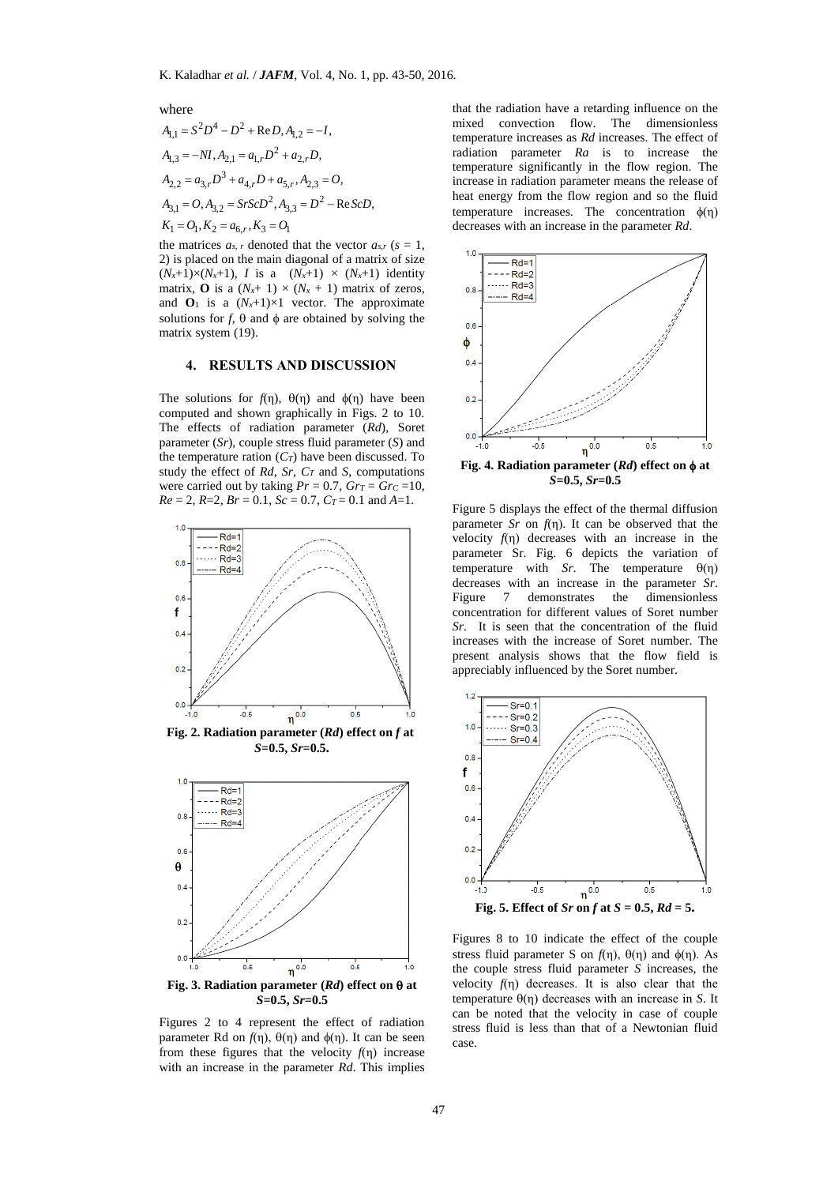where

$$
A_{1,1} = S^2 D^4 - D^2 + \text{Re } D, A_{1,2} = -I,
$$
  
\n
$$
A_{1,3} = -NI, A_{2,1} = a_{1,r}D^2 + a_{2,r}D,
$$
  
\n
$$
A_{2,2} = a_{3,r}D^3 + a_{4,r}D + a_{5,r}, A_{2,3} = O,
$$
  
\n
$$
A_{3,1} = O, A_{3,2} = SrScD^2, A_{3,3} = D^2 - \text{Re }ScD,
$$
  
\n
$$
K_1 = O_1, K_2 = a_{6,r}, K_3 = O_1
$$

the matrices  $a_{s,r}$  denoted that the vector  $a_{s,r}$  ( $s = 1$ , 2) is placed on the main diagonal of a matrix of size  $(N_x+1)\times(N_x+1)$ , *I* is a  $(N_x+1)\times(N_x+1)$  identity matrix, **O** is a  $(N_x+1) \times (N_x+1)$  matrix of zeros, and  $\mathbf{O}_1$  is a  $(N_x+1)\times 1$  vector. The approximate solutions for  $f$ ,  $\theta$  and  $\phi$  are obtained by solving the matrix system (19).

#### **4. RESULTS AND DISCUSSION**

The solutions for  $f(\eta)$ ,  $\theta(\eta)$  and  $\phi(\eta)$  have been computed and shown graphically in Figs. 2 to 10. The effects of radiation parameter (*Rd*), Soret parameter (*Sr*), couple stress fluid parameter (*S*) and the temperature ration (*CT*) have been discussed. To study the effect of *Rd*, *Sr*, *C<sup>T</sup>* and *S*, computations were carried out by taking  $Pr = 0.7$ ,  $Gr_T = Gr_C = 10$ ,  $Re = 2$ ,  $R=2$ ,  $Br = 0.1$ ,  $Sc = 0.7$ ,  $Cr = 0.1$  and  $A=1$ .



**Fig. 2. Radiation parameter (***Rd***) effect on** *f* **at** *S***=0.5,** *Sr***=0.5.**



Figures 2 to 4 represent the effect of radiation parameter Rd on  $f(\eta)$ ,  $\theta(\eta)$  and  $\phi(\eta)$ . It can be seen from these figures that the velocity  $f(\eta)$  increase with an increase in the parameter *Rd*. This implies

that the radiation have a retarding influence on the mixed convection flow. The dimensionless temperature increases as *Rd* increases. The effect of radiation parameter *Ra* is to increase the temperature significantly in the flow region. The increase in radiation parameter means the release of heat energy from the flow region and so the fluid temperature increases. The concentration  $\phi(\eta)$ decreases with an increase in the parameter *Rd*.



*S***=0.5,** *Sr***=0.5**

Figure 5 displays the effect of the thermal diffusion parameter *Sr* on  $f(\eta)$ . It can be observed that the velocity  $f(\eta)$  decreases with an increase in the parameter Sr. Fig. 6 depicts the variation of temperature with *Sr*. The temperature  $\theta(\eta)$ decreases with an increase in the parameter *Sr*.<br>Figure 7 demonstrates the dimensionless Figure 7 demonstrates the dimensionless concentration for different values of Soret number *Sr*. It is seen that the concentration of the fluid increases with the increase of Soret number. The present analysis shows that the flow field is appreciably influenced by the Soret number.



Figures 8 to 10 indicate the effect of the couple stress fluid parameter S on  $f(\eta)$ ,  $\theta(\eta)$  and  $\phi(\eta)$ . As the couple stress fluid parameter *S* increases, the velocity  $f(\eta)$  decreases. It is also clear that the temperature  $θ(η)$  decreases with an increase in *S*. It can be noted that the velocity in case of couple stress fluid is less than that of a Newtonian fluid case.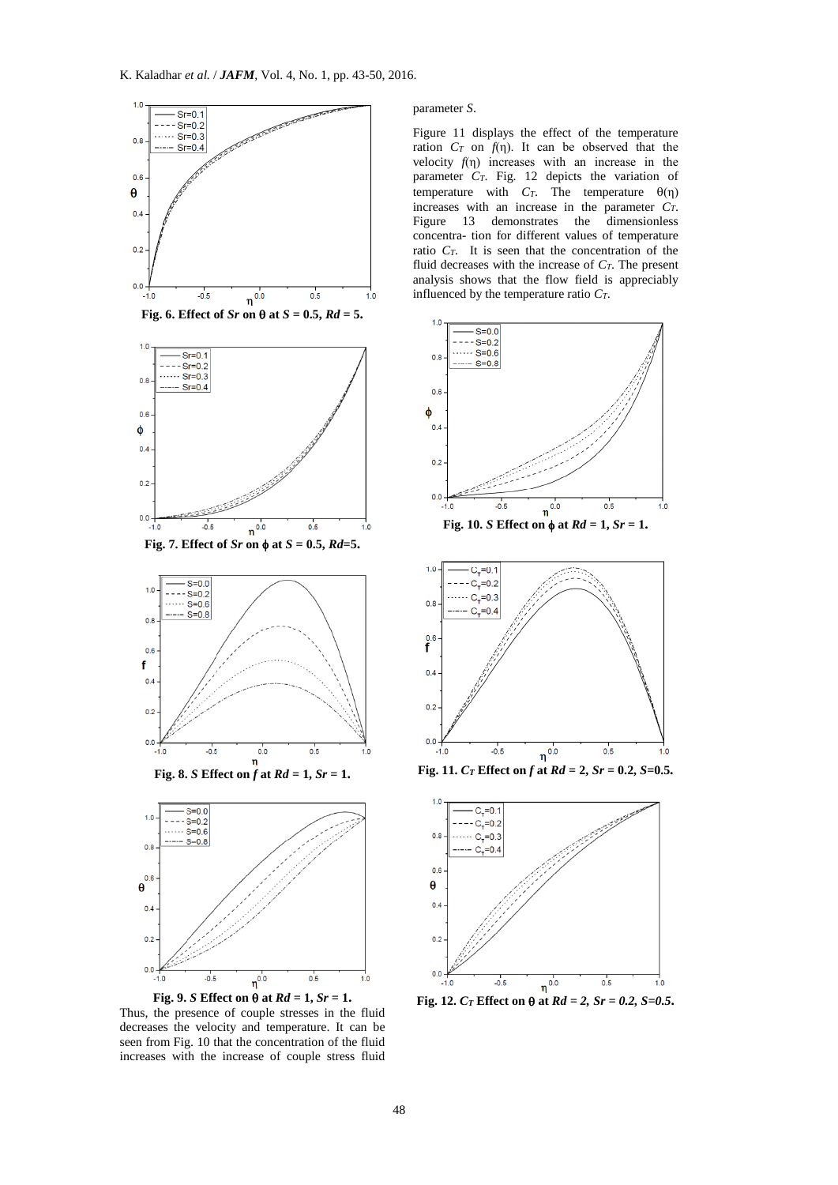





**Fig. 8.** *S* **Effect on** *f* **at** *Rd* **= 1,** *Sr* **= 1.**



Thus, the presence of couple stresses in the fluid decreases the velocity and temperature. It can be seen from Fig. 10 that the concentration of the fluid increases with the increase of couple stress fluid

parameter *S*.

Figure 11 displays the effect of the temperature ration  $C_T$  on  $f(\eta)$ . It can be observed that the velocity  $f(\eta)$  increases with an increase in the parameter *CT*. Fig. 12 depicts the variation of temperature with  $C_T$ . The temperature  $\theta(\eta)$ increases with an increase in the parameter *CT*. Figure 13 demonstrates the dimensionless concentra- tion for different values of temperature ratio  $C_T$ . It is seen that the concentration of the fluid decreases with the increase of *CT*. The present analysis shows that the flow field is appreciably influenced by the temperature ratio *CT*.



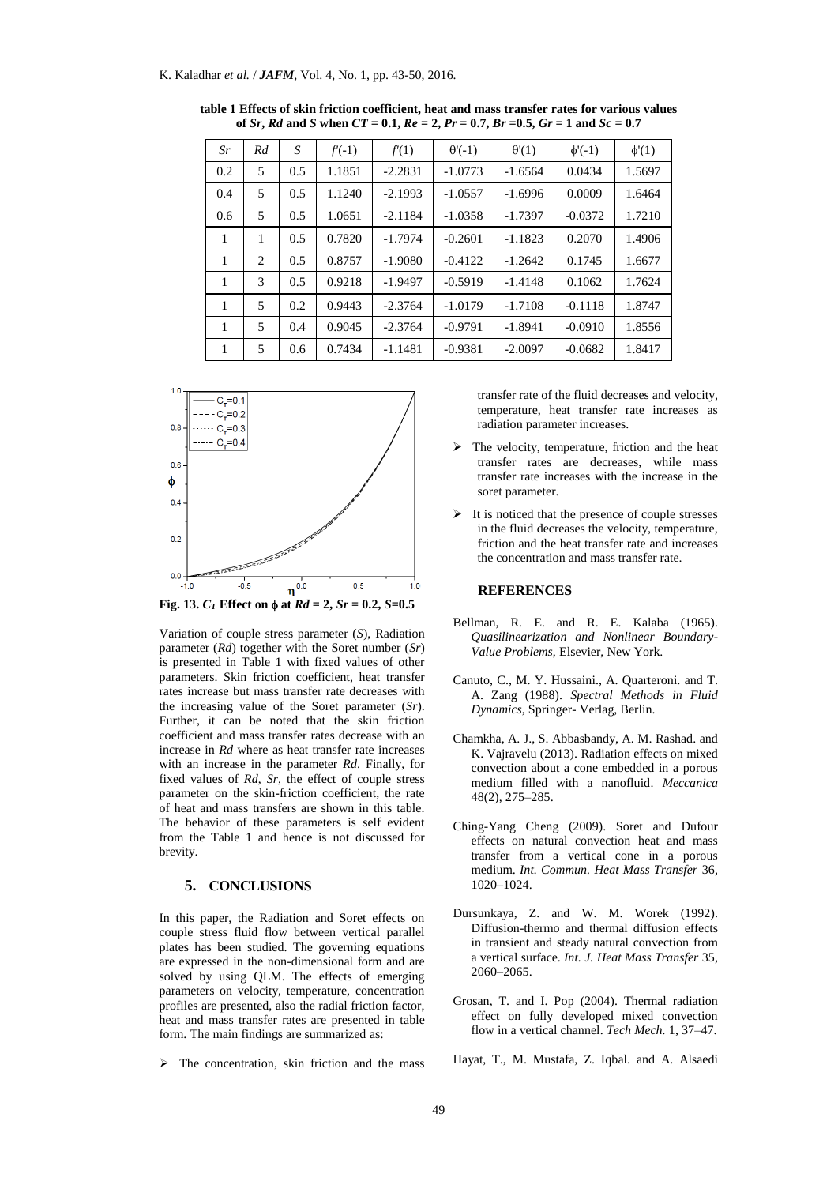| Sr  | Rd             | S   | $f(-1)$ | f(1)      | $\theta$ '(-1) | $\theta(1)$ | $\phi'(-1)$ | $\phi'(1)$ |
|-----|----------------|-----|---------|-----------|----------------|-------------|-------------|------------|
| 0.2 | 5              | 0.5 | 1.1851  | $-2.2831$ | $-1.0773$      | $-1.6564$   | 0.0434      | 1.5697     |
| 0.4 | 5              | 0.5 | 1.1240  | $-2.1993$ | $-1.0557$      | $-1.6996$   | 0.0009      | 1.6464     |
| 0.6 | 5              | 0.5 | 1.0651  | $-2.1184$ | $-1.0358$      | $-1.7397$   | $-0.0372$   | 1.7210     |
| 1   | 1              | 0.5 | 0.7820  | $-1.7974$ | $-0.2601$      | $-1.1823$   | 0.2070      | 1.4906     |
| 1   | $\overline{c}$ | 0.5 | 0.8757  | $-1.9080$ | $-0.4122$      | $-1.2642$   | 0.1745      | 1.6677     |
| 1   | 3              | 0.5 | 0.9218  | $-1.9497$ | $-0.5919$      | $-1.4148$   | 0.1062      | 1.7624     |
| 1   | 5              | 0.2 | 0.9443  | $-2.3764$ | $-1.0179$      | $-1.7108$   | $-0.1118$   | 1.8747     |
| 1   | 5              | 0.4 | 0.9045  | $-2.3764$ | $-0.9791$      | $-1.8941$   | $-0.0910$   | 1.8556     |
| 1   | 5              | 0.6 | 0.7434  | $-1.1481$ | $-0.9381$      | $-2.0097$   | $-0.0682$   | 1.8417     |

**table 1 Effects of skin friction coefficient, heat and mass transfer rates for various values of** *Sr***,** *Rd* **and** *S* **when**  $CT = 0.1$ **,**  $Re = 2$ **,**  $Pr = 0.7$ **,**  $Br = 0.5$ **,**  $Gr = 1$  **and**  $Sc = 0.7$ 



Variation of couple stress parameter (*S*), Radiation parameter (*Rd*) together with the Soret number (*Sr*) is presented in Table 1 with fixed values of other parameters. Skin friction coefficient, heat transfer rates increase but mass transfer rate decreases with the increasing value of the Soret parameter (*Sr*). Further, it can be noted that the skin friction coefficient and mass transfer rates decrease with an increase in *Rd* where as heat transfer rate increases with an increase in the parameter *Rd*. Finally, for fixed values of *Rd*, *Sr*, the effect of couple stress parameter on the skin-friction coefficient, the rate of heat and mass transfers are shown in this table. The behavior of these parameters is self evident from the Table 1 and hence is not discussed for brevity.

## **5. CONCLUSIONS**

In this paper, the Radiation and Soret effects on couple stress fluid flow between vertical parallel plates has been studied. The governing equations are expressed in the non-dimensional form and are solved by using QLM. The effects of emerging parameters on velocity, temperature, concentration profiles are presented, also the radial friction factor, heat and mass transfer rates are presented in table form. The main findings are summarized as:

 $\triangleright$  The concentration, skin friction and the mass

transfer rate of the fluid decreases and velocity, temperature, heat transfer rate increases as radiation parameter increases.

- $\triangleright$  The velocity, temperature, friction and the heat transfer rates are decreases, while mass transfer rate increases with the increase in the soret parameter.
- It is noticed that the presence of couple stresses in the fluid decreases the velocity, temperature, friction and the heat transfer rate and increases the concentration and mass transfer rate.

#### **REFERENCES**

- Bellman, R. E. and R. E. Kalaba (1965). *Quasilinearization and Nonlinear Boundary-Value Problems*, Elsevier, New York.
- Canuto, C., M. Y. Hussaini., A. Quarteroni. and T. A. Zang (1988). *Spectral Methods in Fluid Dynamics*, Springer- Verlag, Berlin.
- Chamkha, A. J., S. Abbasbandy, A. M. Rashad. and K. Vajravelu (2013). Radiation effects on mixed convection about a cone embedded in a porous medium filled with a nanofluid. *Meccanica* 48(2), 275–285.
- Ching-Yang Cheng (2009). Soret and Dufour effects on natural convection heat and mass transfer from a vertical cone in a porous medium. *Int. Commun. Heat Mass Transfer* 36, 1020–1024.
- Dursunkaya, Z. and W. M. Worek (1992). Diffusion-thermo and thermal diffusion effects in transient and steady natural convection from a vertical surface. *Int. J. Heat Mass Transfer* 35, 2060–2065.
- Grosan, T. and I. Pop (2004). Thermal radiation effect on fully developed mixed convection flow in a vertical channel. *Tech Mech.* 1, 37–47.

Hayat, T., M. Mustafa, Z. Iqbal. and A. Alsaedi